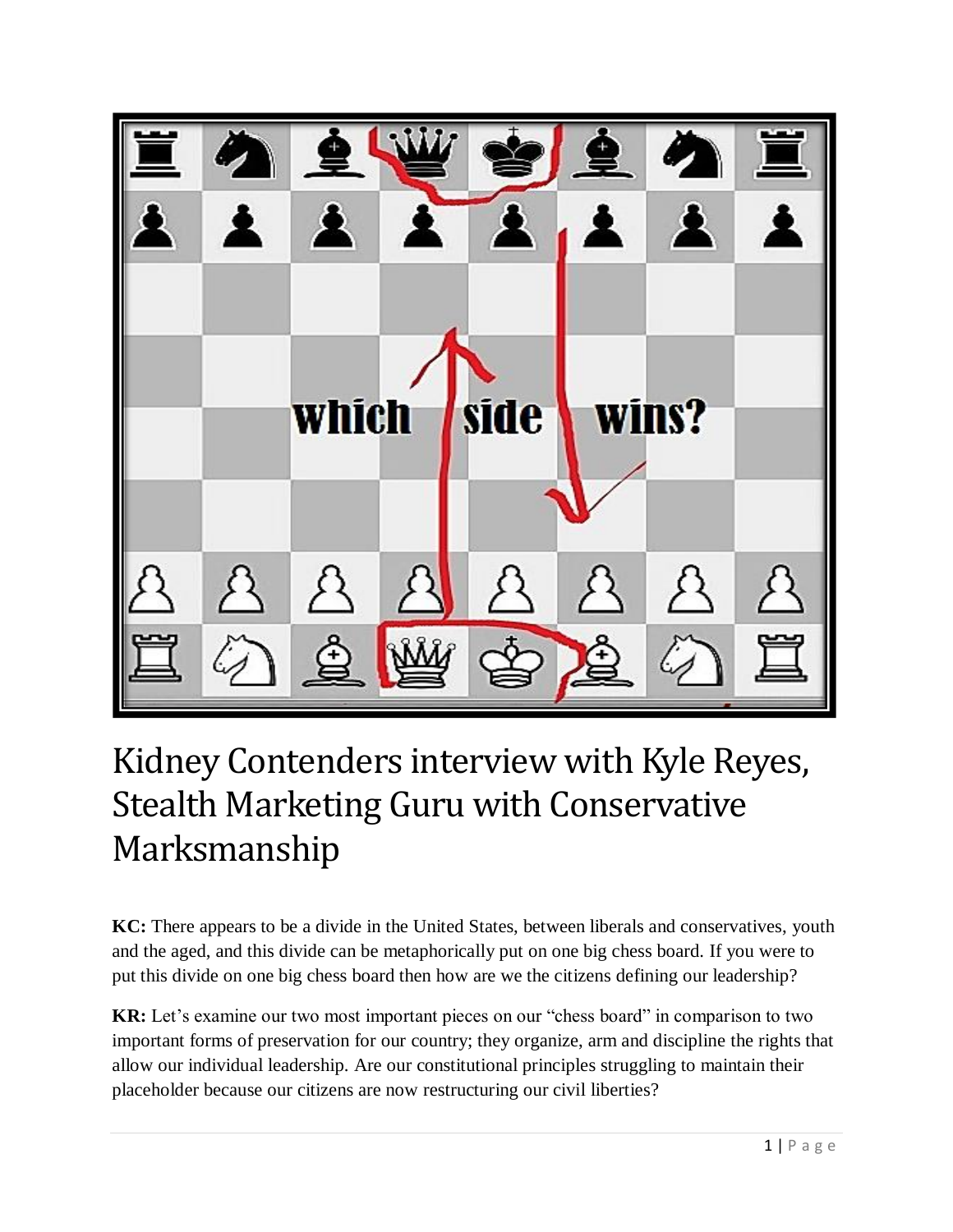

## Kidney Contenders interview with Kyle Reyes, Stealth Marketing Guru with Conservative Marksmanship

**KC:** There appears to be a divide in the United States, between liberals and conservatives, youth and the aged, and this divide can be metaphorically put on one big chess board. If you were to put this divide on one big chess board then how are we the citizens defining our leadership?

**KR:** Let's examine our two most important pieces on our "chess board" in comparison to two important forms of preservation for our country; they organize, arm and discipline the rights that allow our individual leadership. Are our constitutional principles struggling to maintain their placeholder because our citizens are now restructuring our civil liberties?